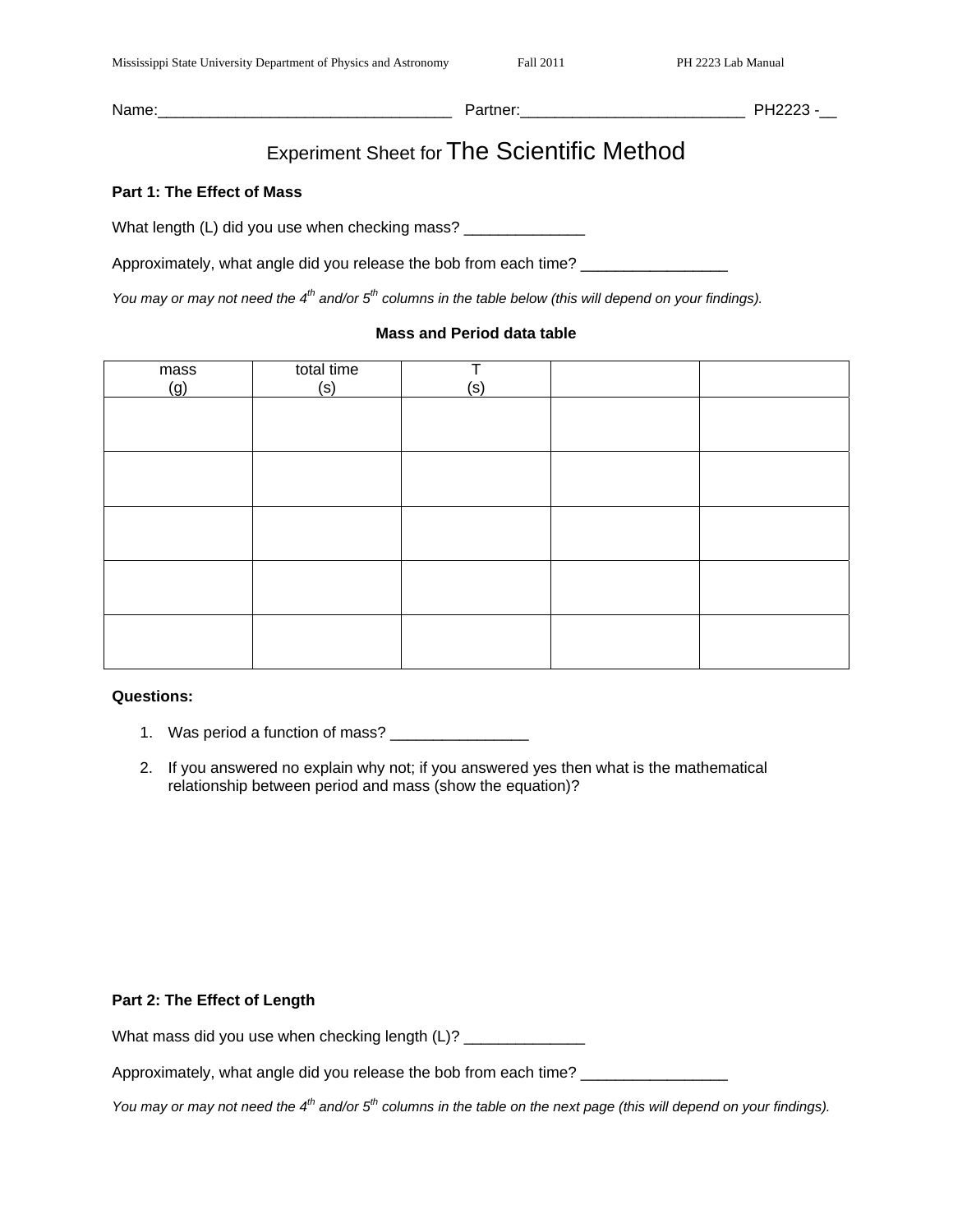# Experiment Sheet for The Scientific Method

#### **Part 1: The Effect of Mass**

What length (L) did you use when checking mass? \_\_\_\_\_\_\_\_\_\_\_\_\_\_

Approximately, what angle did you release the bob from each time? \_\_\_\_\_\_\_\_\_\_\_\_\_\_

*You may or may not need the 4<sup>th</sup> and/or 5<sup>th</sup> columns in the table below (this will depend on your findings).* 

#### **Mass and Period data table**

| mass<br>(g) | total time<br>(s) | (s) |  |
|-------------|-------------------|-----|--|
|             |                   |     |  |
|             |                   |     |  |
|             |                   |     |  |
|             |                   |     |  |
|             |                   |     |  |
|             |                   |     |  |
|             |                   |     |  |
|             |                   |     |  |
|             |                   |     |  |
|             |                   |     |  |

### **Questions:**

- 1. Was period a function of mass? \_\_\_\_\_\_\_\_\_\_\_\_
- 2. If you answered no explain why not; if you answered yes then what is the mathematical relationship between period and mass (show the equation)?

### **Part 2: The Effect of Length**

What mass did you use when checking length (L)? \_\_\_\_\_\_\_\_\_\_\_\_\_\_

Approximately, what angle did you release the bob from each time? \_\_\_\_\_\_\_\_\_\_\_\_\_\_

*You may or may not need the 4<sup>th</sup> and/or 5<sup>th</sup> columns in the table on the next page (this will depend on your findings).*